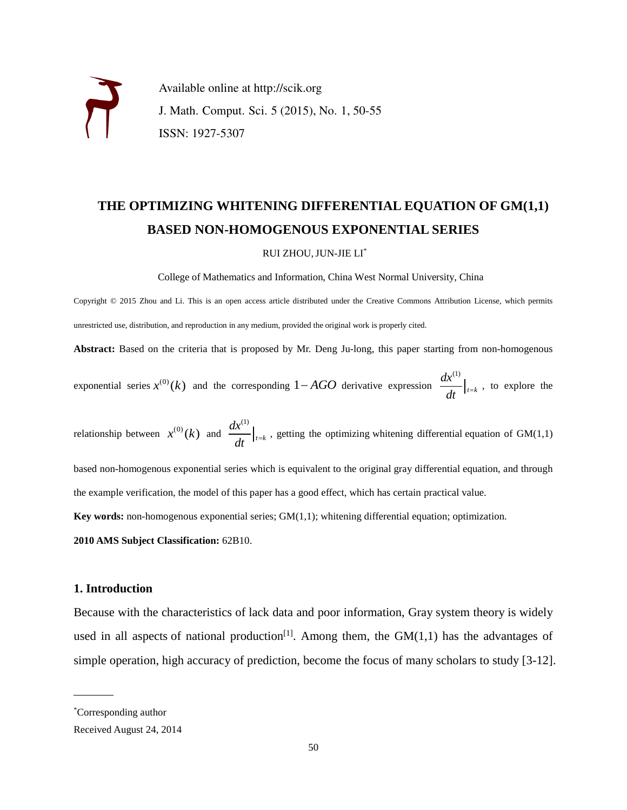Available online at http://scik.org J. Math. Comput. Sci. 5 (2015), No. 1, 50-55 ISSN: 1927-5307

# **THE OPTIMIZING WHITENING DIFFERENTIAL EQUATION OF GM(1,1) BASED NON-HOMOGENOUS EXPONENTIAL SERIES**

#### RUI ZHOU,JUN-JIE LI\*

College of Mathematics and Information, China West Normal University, China

Copyright © 2015 Zhou and Li. This is an open access article distributed under the Creative Commons Attribution License, which permits unrestricted use, distribution, and reproduction in any medium, provided the original work is properly cited.

**Abstract:** Based on the criteria that is proposed by Mr. Deng Ju-long, this paper starting from non-homogenous

exponential series  $x^{(0)}(k)$  and the corresponding  $1 - AGO$  derivative expression  $\frac{dx^{(1)}}{dx^{(2)}}$  $t = k$ *dx*  $\frac{d}{dt}\big|_{t=k}$ , to explore the

relationship between  $x^{(0)}(k)$  and  $\frac{dx^{(1)}}{k}$  $t = k$ *dx*  $\frac{d}{dt}\Big|_{t=k}$ , getting the optimizing whitening differential equation of GM(1,1)

based non-homogenous exponential series which is equivalent to the original gray differential equation, and through the example verification, the model of this paper has a good effect, which has certain practical value.

**Key words:** non-homogenous exponential series; GM(1,1); whitening differential equation; optimization.

**2010 AMS Subject Classification:** 62B10.

## **1. Introduction**

Because with the characteristics of lack data and poor information, Gray system theory is widely used in all aspects of national production<sup>[1]</sup>. Among them, the  $GM(1,1)$  has the advantages of simple operation, high accuracy of prediction, become the focus of many scholars to study [3-12].

 $\sim$ 

<sup>\*</sup>Corresponding author

Received August 24, 2014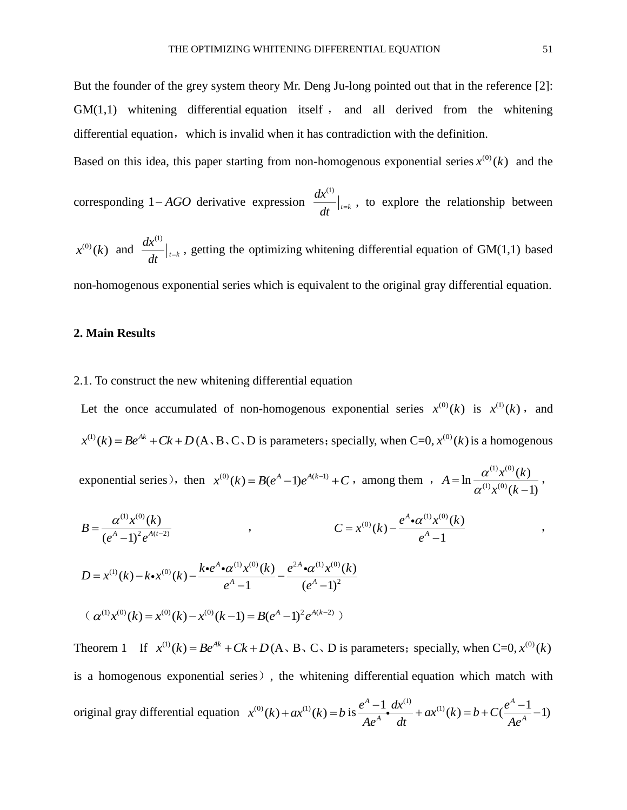,

But the founder of the grey system theory Mr. Deng Ju-long pointed out that in the reference [2]:  $GM(1,1)$  whitening differential equation itself, and all derived from the whitening differential equation, which is invalid when it has contradiction with the definition.

Based on this idea, this paper starting from non-homogenous exponential series  $x^{(0)}(k)$  and the

corresponding  $1 - AGO$  derivative expression (1)  $t = k$ *dx*  $\frac{d}{dt}\Big|_{t=k}$ , to explore the relationship between

 $x^{(0)}(k)$  and (1)  $t = k$ *dx*  $\frac{d}{dt}\Big|_{t=k}$ , getting the optimizing whitening differential equation of GM(1,1) based non-homogenous exponential series which is equivalent to the original gray differential equation.

# **2. Main Results**

# 2.1. To construct the new whitening differential equation

Let the once accumulated of non-homogenous exponential series  $x^{(0)}(k)$  is  $x^{(1)}(k)$ , and  $x^{(1)}(k) = Be^{Ak} + Ck + D(A \cdot B \cdot C \cdot D)$  is parameters; specially, when C=0,  $x^{(0)}(k)$  is a homogenous

exponential series), then  $x^{(0)}(k) = B(e^{A}-1)e^{A(k-1)} + C$ , among them ,  $A = \ln \frac{a^{(1)}x^{(0)}}{a^{(1)}x^{(0)}}$  $\ln \frac{\alpha^{(1)} x^{(0)}(k)}{\alpha^{(1)} x^{(0)}(k)}$  $(k-1)$  $A = \ln \frac{\alpha^{(1)} x^{(0)} (k)}{x^{(0)} (k)}$  $\frac{x^{(0)}(k)}{k}$  $\alpha$  $=\ln\frac{\theta}{\alpha}$  $\overline{a}$ ,

$$
B = \frac{\alpha^{(1)}x^{(0)}(k)}{(e^A - 1)^2 e^{A(t-2)}}
$$
\n
$$
C = x^{(0)}(k) - \frac{e^A \cdot \alpha^{(1)}x^{(0)}(k)}{e^A - 1}
$$
\n
$$
D = x^{(1)}(k) - k \cdot x^{(0)}(k) - \frac{k \cdot e^A \cdot \alpha^{(1)}x^{(0)}(k)}{e^A - 1} - \frac{e^{2A} \cdot \alpha^{(1)}x^{(0)}(k)}{(e^A - 1)^2}
$$
\n
$$
(\alpha^{(1)}x^{(0)}(k) = x^{(0)}(k) - x^{(0)}(k-1) = B(e^A - 1)^2 e^{A(k-2)}
$$

Theorem 1 If  $x^{(1)}(k) = Be^{Ak} + Ck + D(A, B, C, D)$  is parameters; specially, when C=0,  $x^{(0)}(k)$ is a homogenous exponential series), the whitening differential equation which match with original gray differential equation  $x^{(0)}(k) + ax^{(1)}(k) = b$  is  $\frac{e^{A} - 1}{4a^{A}} \frac{dx^{(1)}}{dt} + ax^{(1)}(k) = b + C(\frac{e^{A} - 1}{4a^{A}} - 1)$  $\frac{e^{A}-1}{4e^{A}}\cdot \frac{dx^{(1)}}{dt} + ax^{(1)}(k) = b + C(\frac{e^{A}-1}{4e^{A}})$  $\frac{e^{A}-1}{Ae^{A}}\cdot \frac{dx^{(1)}}{dt} + ax^{(1)}(k) = b + C(\frac{e^{A}-1}{Ae^{A}})$  $\frac{-1}{a^4}$   $\frac{dx^{(1)}}{dt} + ax^{(1)}(k) = b + C(\frac{e^A - 1}{4a^A} - 1)$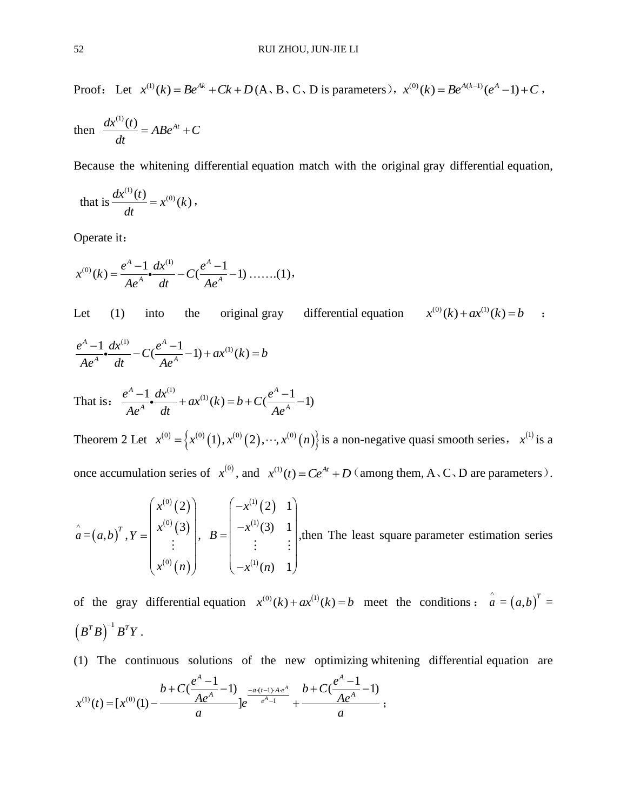Proof: Let  $x^{(1)}(k) = Be^{Ak} + Ck + D(A, B, C, D)$  is parameters),  $x^{(0)}(k) = Be^{A(k-1)}(e^A - 1) + C$ ,

then 
$$
\frac{dx^{(1)}(t)}{dt} = ABe^{At} + C
$$

Because the whitening differential equation match with the original gray differential equation,

that is 
$$
\frac{dx^{(1)}(t)}{dt} = x^{(0)}(k)
$$
,

Operate it:

$$
x^{(0)}(k) = \frac{e^{A}-1}{Ae^{A}} \cdot \frac{dx^{(1)}}{dt} - C(\frac{e^{A}-1}{Ae^{A}}-1) \dots (1),
$$

Let  $(1)$  into the original gray differential equation  $x^{(0)}(k) + ax^{(1)}(k) = b$  :  $\frac{A-1}{4a^A}$ **o**  $\frac{dx^{(1)}}{dt}$  –  $C(\frac{e^A-1}{4a^A}-1)$  +  $ax^{(1)}(k)$  $\frac{e^A - 1}{4e^A}$ **-**  $\frac{dx^{(1)}}{dt} - C(\frac{e^A - 1}{4e^A} - 1) + ax^{(1)}(k) = b$  $\frac{A^{A}-1}{Ae^{A}}\cdot \frac{dx^{(1)}}{dt} - C(\frac{e^{A}-1}{Ae^{A}})$  $\frac{-1}{a^A} dx^{(1)}$ <br> $\frac{dx^{(1)}}{dt} - C(\frac{e^A - 1}{4a^A} - 1) + ax^{(1)}(k) = b$  $A = 1 \, dx^{(1)}$   $a^A$  $\frac{-1}{2}dx^{(1)} + ax^{(1)}(k) = b + C(\frac{e^{A}-1}{2}-1)$ 

That is: 
$$
\frac{e^A - 1}{Ae^A} \cdot \frac{dx^{(1)}}{dt} + ax^{(1)}(k) = b + C(\frac{e^A - 1}{Ae^A} - 1)
$$

Theorem 2 Let  $x^{(0)} = \left\{ x^{(0)}(1), x^{(0)}(2), \dots, x^{(0)}(n) \right\}$  is a non-negative quasi smooth series,  $x^{(1)}$  is a once accumulation series of  $x^{(0)}$ , and  $x^{(1)}(t) = Ce^{At} + D$  (among them, A, C, D are parameters).

$$
\hat{a} = (a,b)^{T}, Y = \begin{pmatrix} x^{(0)}(2) \\ x^{(0)}(3) \\ \vdots \\ x^{(0)}(n) \end{pmatrix}, B = \begin{pmatrix} -x^{(1)}(2) & 1 \\ -x^{(1)}(3) & 1 \\ \vdots & \vdots \\ -x^{(1)}(n) & 1 \end{pmatrix}
$$
, then The least square parameter estimation series

of the gray differential equation  $x^{(0)}(k) + ax^{(1)}(k) = b$  meet the conditions:  $\hat{a} = (a,b)^T =$  $\left(\textit{B}^{T}\textit{B}\right)^{-1}\textit{B}^{T}\textit{Y} \; .$ 

(1) The continuous solutions of the new optimizing whitening differential equation are blutions of the new optim<br> $A^A - 1$ 

(1) The continuous solutions of the new optimizing whitenin  

$$
b + C\left(\frac{e^{A}-1}{Ae^{A}}-1\right)_{e^{\frac{-a(t-1)Ae^{A}}{e^{A}-1}}} + \frac{b + C\left(\frac{e^{A}-1}{Ae^{A}}-1\right)}{a};
$$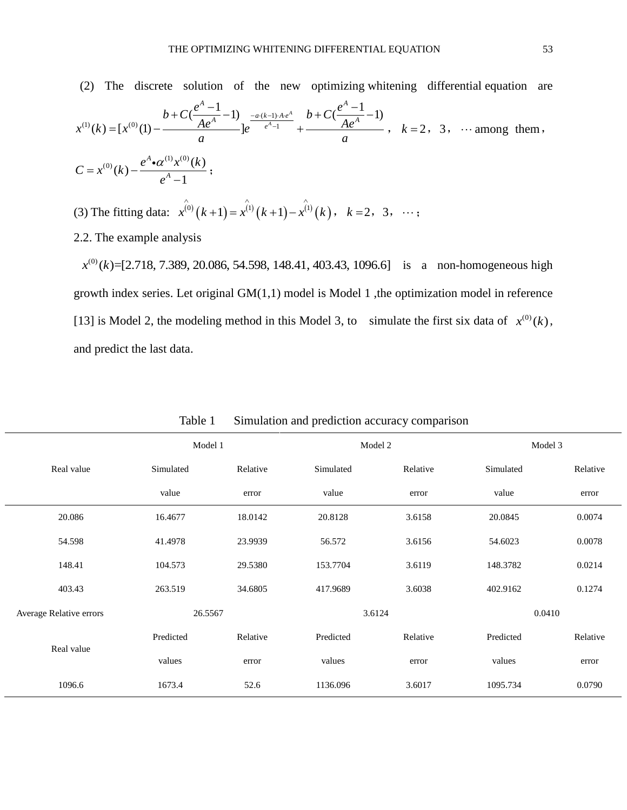(2) The discrete solution of the new optimizing whitening differential equation are  $\frac{(k-1)}{4}$ (2) The discrete solution of the new optimizing wh<br>  $b + C(\frac{e^{A}-1}{Ae^{A}}-1)$   $\frac{a(k-1)Ae^{A}}{e^{A}-1}$   $b + C(\frac{e^{A}-1}{Ae^{A}}-1)$  $(k) = [x^{(0)}(1) - \frac{b + C(\frac{e^{A}-1}{Ae^{A}}-1)}{a}]$ *A A* The *A*  $A - 1$  **A**  $A + 2$  **A**  $A + 3$  *A*  $A + 4$  *A A A A A A A A A A A A A A A A A A A A A A A A A* te solution of the new optimizin<br>  $b + C\left(\frac{e^{A}-1}{Ae^{A}}-1\right)_{e^{\frac{-a(k-1)Ae^{A}}{e^{A}-1}}} + \frac{b + C\left(\frac{e^{A}-1}{Ae^{A}}\right)}{e^{A}}$ (2) The discrete solution of the new optimized<br>  $x^{(1)}(k) = [x^{(0)}(1) - \frac{b + C(\frac{e^{A}-1}{Ae^{A}}-1)}{a}]e^{-\frac{a(k-1)Ae^{A}}{e^{A}-1}} + \frac{b + C(\frac{e^{A}-1}{Ae})}{a}$  $\frac{a^{A}-1}{Ae^{A}}-1$ )  $e^{-a\cdot(k-1)\cdot Ae^{A}} + \frac{b+C(\frac{e^{A}}{A})}{a}$ solution of the new optimizing whitening<br>+C( $\frac{e^{A}-1}{Ae^{A}}$ -1)  $\frac{-a(k-1)Ae^{A}}{Ae^{A-1}}$   $b+C(\frac{e^{A}-1}{Ae^{A}}-1)$  $= [x^{(0)}(1) - \frac{b + C(\frac{e^{A}-1}{Ae^{A}}-1)}{a}]e^{-\frac{a(k-1)Ae^{A}}{e^{A}-1}} + \frac{b + C(\frac{e^{A}-1}{Ae^{A}}-1)}{a}, \quad k = 2, 3, \dots$  among them, (0)  $(k) - \frac{e^{A} \cdot \alpha^{(1)} x^{(0)}(k)}{e^{A} - 1}$ *A*  $C = x^{(0)}(k) - \frac{e^{A} \cdot \alpha^{(1)} x^{(0)}(k)}{e^{A} - 1}$  $= x^{(0)}(k) - \frac{e^{A} \cdot \alpha^{(1)} x^{A}}{e^{A} -$ ;

- (3) The fitting data:  $x^{(0)}(k+1) = x^{(1)}(k+1) x^{(1)}(k)$ ,  $k = 2, 3, \dots$ ;
- 2.2. The example analysis

2. The example analysis<br> $x^{(0)}(k)$ =[2.718, 7.389, 20.086, 54.598, 148.41, 403.43, 1096.6] is a non-homogeneous high growth index series. Let original GM(1,1) model is Model 1 ,the optimization model in reference [13] is Model 2, the modeling method in this Model 3, to simulate the first six data of  $x^{(0)}(k)$ , and predict the last data.

|                         | Model 1   |          | Model 2   |          | Model 3   |          |
|-------------------------|-----------|----------|-----------|----------|-----------|----------|
| Real value              | Simulated | Relative | Simulated | Relative | Simulated | Relative |
|                         | value     | error    | value     | error    | value     | error    |
| 20.086                  | 16.4677   | 18.0142  | 20.8128   | 3.6158   | 20.0845   | 0.0074   |
| 54.598                  | 41.4978   | 23.9939  | 56.572    | 3.6156   | 54.6023   | 0.0078   |
| 148.41                  | 104.573   | 29.5380  | 153.7704  | 3.6119   | 148.3782  | 0.0214   |
| 403.43                  | 263.519   | 34.6805  | 417.9689  | 3.6038   | 402.9162  | 0.1274   |
| Average Relative errors | 26.5567   |          | 3.6124    |          | 0.0410    |          |
| Real value              | Predicted | Relative | Predicted | Relative | Predicted | Relative |
|                         | values    | error    | values    | error    | values    | error    |
| 1096.6                  | 1673.4    | 52.6     | 1136.096  | 3.6017   | 1095.734  | 0.0790   |

Table 1 Simulation and prediction accuracy comparison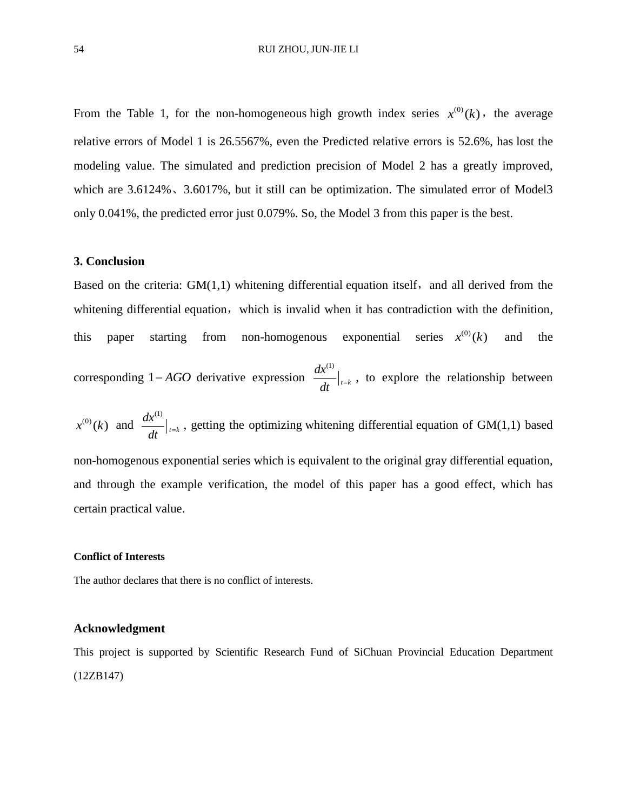From the Table 1, for the non-homogeneous high growth index series  $x^{(0)}(k)$ , the average relative errors of Model 1 is 26.5567%, even the Predicted relative errors is 52.6%, has lost the modeling value. The simulated and prediction precision of Model 2 has a greatly improved, which are  $3.6124\%$ ,  $3.6017\%$ , but it still can be optimization. The simulated error of Model3 only 0.041%, the predicted error just 0.079%. So, the Model 3 from this paper is the best.

## **3. Conclusion**

Based on the criteria:  $GM(1,1)$  whitening differential equation itself, and all derived from the whitening differential equation, which is invalid when it has contradiction with the definition, this paper starting from non-homogenous exponential series  $x^{(0)}(k)$ and the corresponding  $1 - AGO$  derivative expression (1)  $t = k$ *dx*  $\frac{d}{dt}\Big|_{t=k}$ , to explore the relationship between  $x^{(0)}(k)$  and (1)  $t = k$ *dx*  $\frac{d}{dt}\Big|_{t=k}$ , getting the optimizing whitening differential equation of GM(1,1) based

non-homogenous exponential series which is equivalent to the original gray differential equation, and through the example verification, the model of this paper has a good effect, which has certain practical value.

### **Conflict of Interests**

The author declares that there is no conflict of interests.

## **Acknowledgment**

This project is supported by Scientific Research Fund of SiChuan Provincial Education Department (12ZB147)